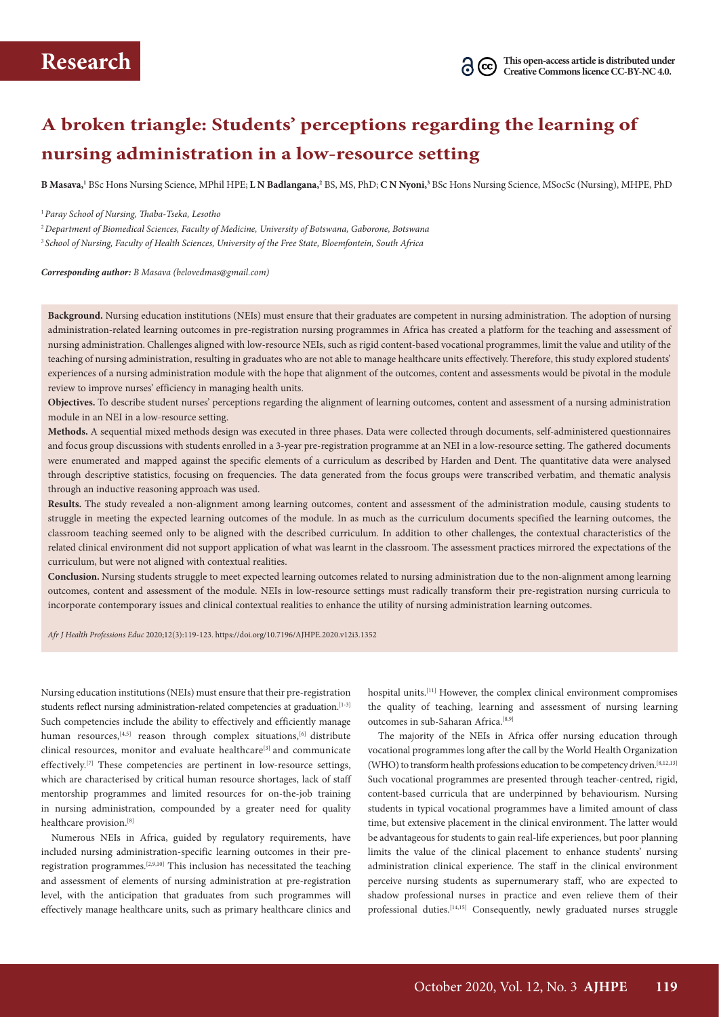# **A broken triangle: Students' perceptions regarding the learning of nursing administration in a low-resource setting**

**B Masava,1** BSc Hons Nursing Science, MPhil HPE; **L N Badlangana,2** BS, MS, PhD; **C N Nyoni,3** BSc Hons Nursing Science, MSocSc (Nursing), MHPE, PhD

<sup>1</sup>*Paray School of Nursing, Thaba-Tseka, Lesotho*

<sup>2</sup>*Department of Biomedical Sciences, Faculty of Medicine, University of Botswana, Gaborone, Botswana* <sup>3</sup> *School of Nursing, Faculty of Health Sciences, University of the Free State, Bloemfontein, South Africa* 

*Corresponding author: B Masava (belovedmas@gmail.com)*

**Background.** Nursing education institutions (NEIs) must ensure that their graduates are competent in nursing administration. The adoption of nursing administration-related learning outcomes in pre-registration nursing programmes in Africa has created a platform for the teaching and assessment of nursing administration. Challenges aligned with low-resource NEIs, such as rigid content-based vocational programmes, limit the value and utility of the teaching of nursing administration, resulting in graduates who are not able to manage healthcare units effectively. Therefore, this study explored students' experiences of a nursing administration module with the hope that alignment of the outcomes, content and assessments would be pivotal in the module review to improve nurses' efficiency in managing health units.

**Objectives.** To describe student nurses' perceptions regarding the alignment of learning outcomes, content and assessment of a nursing administration module in an NEI in a low-resource setting.

**Methods.** A sequential mixed methods design was executed in three phases. Data were collected through documents, self-administered questionnaires and focus group discussions with students enrolled in a 3-year pre-registration programme at an NEI in a low-resource setting. The gathered documents were enumerated and mapped against the specific elements of a curriculum as described by Harden and Dent. The quantitative data were analysed through descriptive statistics, focusing on frequencies. The data generated from the focus groups were transcribed verbatim, and thematic analysis through an inductive reasoning approach was used.

**Results.** The study revealed a non-alignment among learning outcomes, content and assessment of the administration module, causing students to struggle in meeting the expected learning outcomes of the module. In as much as the curriculum documents specified the learning outcomes, the classroom teaching seemed only to be aligned with the described curriculum. In addition to other challenges, the contextual characteristics of the related clinical environment did not support application of what was learnt in the classroom. The assessment practices mirrored the expectations of the curriculum, but were not aligned with contextual realities.

Conclusion. Nursing students struggle to meet expected learning outcomes related to nursing administration due to the non-alignment among learning outcomes, content and assessment of the module. NEIs in low-resource settings must radically transform their pre-registration nursing curricula to incorporate contemporary issues and clinical contextual realities to enhance the utility of nursing administration learning outcomes.

*Afr J Health Professions Educ* 2020;12(3):119-123. https://doi.org/10.7196/AJHPE.2020.v12i3.1352

Nursing education institutions (NEIs) must ensure that their pre-registration students reflect nursing administration-related competencies at graduation.<sup>[1-3]</sup> Such competencies include the ability to effectively and efficiently manage human resources, $[4,5]$  reason through complex situations, $[6]$  distribute clinical resources, monitor and evaluate healthcare<sup>[3]</sup> and communicate effectively.[7] These competencies are pertinent in low-resource settings, which are characterised by critical human resource shortages, lack of staff mentorship programmes and limited resources for on-the-job training in nursing administration, compounded by a greater need for quality healthcare provision.<sup>[8]</sup>

Numerous NEIs in Africa, guided by regulatory requirements, have included nursing administration-specific learning outcomes in their preregistration programmes.[2,9,10] This inclusion has necessitated the teaching and assessment of elements of nursing administration at pre-registration level, with the anticipation that graduates from such programmes will effectively manage healthcare units, such as primary healthcare clinics and

hospital units.<sup>[11]</sup> However, the complex clinical environment compromises the quality of teaching, learning and assessment of nursing learning outcomes in sub-Saharan Africa.<sup>[8,9]</sup>

The majority of the NEIs in Africa offer nursing education through vocational programmes long after the call by the World Health Organization (WHO) to transform health professions education to be competency driven.[8,12,13] Such vocational programmes are presented through teacher-centred, rigid, content-based curricula that are underpinned by behaviourism. Nursing students in typical vocational programmes have a limited amount of class time, but extensive placement in the clinical environment. The latter would be advantageous for students to gain real-life experiences, but poor planning limits the value of the clinical placement to enhance students' nursing administration clinical experience. The staff in the clinical environment perceive nursing students as supernumerary staff, who are expected to shadow professional nurses in practice and even relieve them of their professional duties.<sup>[14,15]</sup> Consequently, newly graduated nurses struggle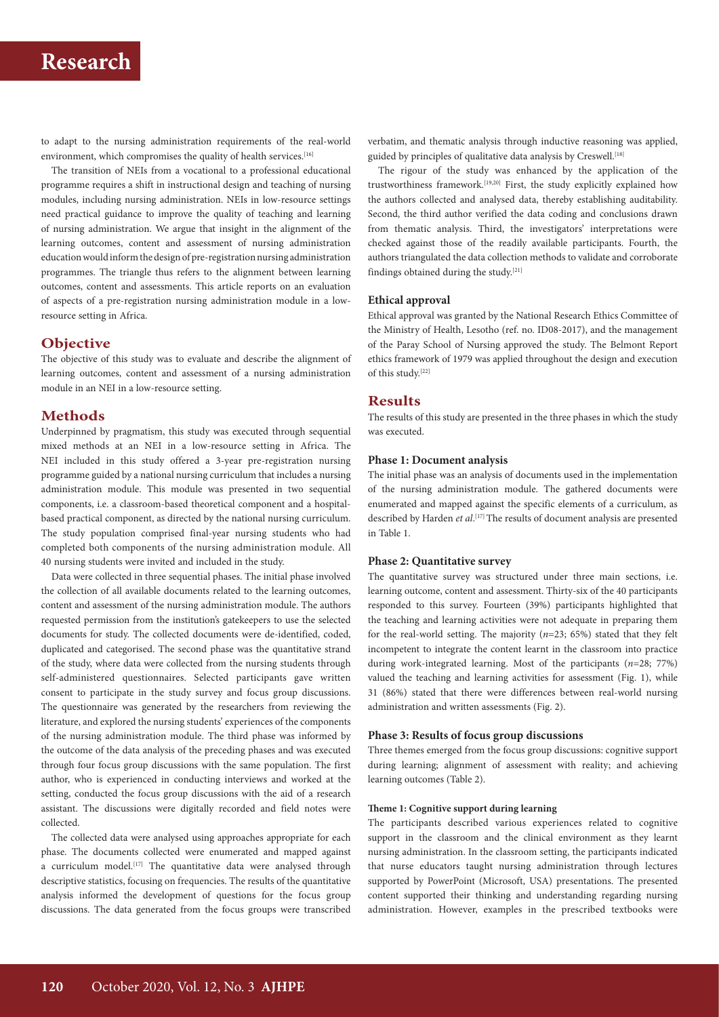to adapt to the nursing administration requirements of the real-world environment, which compromises the quality of health services.<sup>[16]</sup>

The transition of NEIs from a vocational to a professional educational programme requires a shift in instructional design and teaching of nursing modules, including nursing administration. NEIs in low-resource settings need practical guidance to improve the quality of teaching and learning of nursing administration. We argue that insight in the alignment of the learning outcomes, content and assessment of nursing administration education would inform the design of pre-registration nursing administration programmes. The triangle thus refers to the alignment between learning outcomes, content and assessments. This article reports on an evaluation of aspects of a pre-registration nursing administration module in a lowresource setting in Africa.

## **Objective**

The objective of this study was to evaluate and describe the alignment of learning outcomes, content and assessment of a nursing administration module in an NEI in a low-resource setting.

## **Methods**

Underpinned by pragmatism, this study was executed through sequential mixed methods at an NEI in a low-resource setting in Africa. The NEI included in this study offered a 3-year pre-registration nursing programme guided by a national nursing curriculum that includes a nursing administration module. This module was presented in two sequential components, i.e. a classroom-based theoretical component and a hospitalbased practical component, as directed by the national nursing curriculum. The study population comprised final-year nursing students who had completed both components of the nursing administration module. All 40 nursing students were invited and included in the study.

Data were collected in three sequential phases. The initial phase involved the collection of all available documents related to the learning outcomes, content and assessment of the nursing administration module. The authors requested permission from the institution's gatekeepers to use the selected documents for study. The collected documents were de-identified, coded, duplicated and categorised. The second phase was the quantitative strand of the study, where data were collected from the nursing students through self-administered questionnaires. Selected participants gave written consent to participate in the study survey and focus group discussions. The questionnaire was generated by the researchers from reviewing the literature, and explored the nursing students' experiences of the components of the nursing administration module. The third phase was informed by the outcome of the data analysis of the preceding phases and was executed through four focus group discussions with the same population. The first author, who is experienced in conducting interviews and worked at the setting, conducted the focus group discussions with the aid of a research assistant. The discussions were digitally recorded and field notes were collected.

The collected data were analysed using approaches appropriate for each phase. The documents collected were enumerated and mapped against a curriculum model.<sup>[17]</sup> The quantitative data were analysed through descriptive statistics, focusing on frequencies. The results of the quantitative analysis informed the development of questions for the focus group discussions. The data generated from the focus groups were transcribed verbatim, and thematic analysis through inductive reasoning was applied, guided by principles of qualitative data analysis by Creswell.<sup>[18]</sup>

The rigour of the study was enhanced by the application of the trustworthiness framework.[19,20] First, the study explicitly explained how the authors collected and analysed data, thereby establishing auditability. Second, the third author verified the data coding and conclusions drawn from thematic analysis. Third, the investigators' interpretations were checked against those of the readily available participants. Fourth, the authors triangulated the data collection methods to validate and corroborate findings obtained during the study.[21]

## **Ethical approval**

Ethical approval was granted by the National Research Ethics Committee of the Ministry of Health, Lesotho (ref. no. ID08-2017), and the management of the Paray School of Nursing approved the study. The Belmont Report ethics framework of 1979 was applied throughout the design and execution of this study.[22]

## **Results**

The results of this study are presented in the three phases in which the study was executed.

### **Phase 1: Document analysis**

The initial phase was an analysis of documents used in the implementation of the nursing administration module. The gathered documents were enumerated and mapped against the specific elements of a curriculum, as described by Harden *et al*. [17] The results of document analysis are presented in Table 1.

### **Phase 2: Quantitative survey**

The quantitative survey was structured under three main sections, i.e. learning outcome, content and assessment. Thirty-six of the 40 participants responded to this survey. Fourteen (39%) participants highlighted that the teaching and learning activities were not adequate in preparing them for the real-world setting. The majority  $(n=23; 65%)$  stated that they felt incompetent to integrate the content learnt in the classroom into practice during work-integrated learning. Most of the participants (*n*=28; 77%) valued the teaching and learning activities for assessment (Fig. 1), while 31 (86%) stated that there were differences between real-world nursing administration and written assessments (Fig. 2).

### **Phase 3: Results of focus group discussions**

Three themes emerged from the focus group discussions: cognitive support during learning; alignment of assessment with reality; and achieving learning outcomes (Table 2).

#### **Theme 1: Cognitive support during learning**

The participants described various experiences related to cognitive support in the classroom and the clinical environment as they learnt nursing administration. In the classroom setting, the participants indicated that nurse educators taught nursing administration through lectures supported by PowerPoint (Microsoft, USA) presentations. The presented content supported their thinking and understanding regarding nursing administration. However, examples in the prescribed textbooks were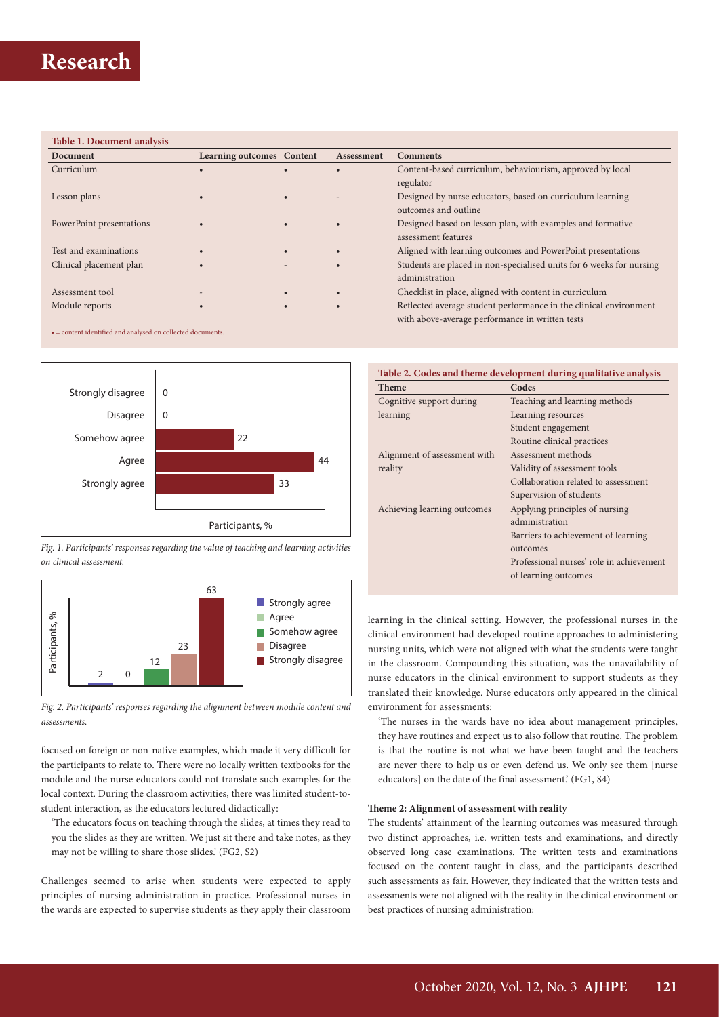### **Table 1. Document analysis**

| Document                 | <b>Learning outcomes</b> Content |           | <b>Assessment</b> | <b>Comments</b>                                                      |
|--------------------------|----------------------------------|-----------|-------------------|----------------------------------------------------------------------|
| Curriculum               |                                  |           |                   | Content-based curriculum, behaviourism, approved by local            |
|                          |                                  |           |                   | regulator                                                            |
| Lesson plans             |                                  |           |                   | Designed by nurse educators, based on curriculum learning            |
|                          |                                  |           |                   | outcomes and outline                                                 |
| PowerPoint presentations |                                  |           | $\bullet$         | Designed based on lesson plan, with examples and formative           |
|                          |                                  |           |                   | assessment features                                                  |
| Test and examinations    |                                  |           |                   | Aligned with learning outcomes and PowerPoint presentations          |
| Clinical placement plan  |                                  |           |                   | Students are placed in non-specialised units for 6 weeks for nursing |
|                          |                                  |           |                   | administration                                                       |
| Assessment tool          |                                  | $\bullet$ | $\bullet$         | Checklist in place, aligned with content in curriculum               |
| Module reports           |                                  | $\bullet$ | $\bullet$         | Reflected average student performance in the clinical environment    |
|                          |                                  |           |                   | with above-average performance in written tests                      |

• = content identified and analysed on collected documents.







*Fig. 2. Participants' responses regarding the alignment between module content and assessments.*

focused on foreign or non-native examples, which made it very difficult for the participants to relate to. There were no locally written textbooks for the module and the nurse educators could not translate such examples for the local context. During the classroom activities, there was limited student-tostudent interaction, as the educators lectured didactically:

'The educators focus on teaching through the slides, at times they read to you the slides as they are written. We just sit there and take notes, as they may not be willing to share those slides.' (FG2, S2)

Challenges seemed to arise when students were expected to apply principles of nursing administration in practice. Professional nurses in the wards are expected to supervise students as they apply their classroom **Table 2. Codes and theme development during qualitative analysis**

| <b>Theme</b>                 | Codes                                    |
|------------------------------|------------------------------------------|
| Cognitive support during     | Teaching and learning methods            |
| learning                     | Learning resources                       |
|                              | Student engagement                       |
|                              | Routine clinical practices               |
| Alignment of assessment with | Assessment methods                       |
| reality                      | Validity of assessment tools             |
|                              | Collaboration related to assessment      |
|                              | Supervision of students                  |
| Achieving learning outcomes  | Applying principles of nursing           |
|                              | administration                           |
|                              | Barriers to achievement of learning      |
|                              | outcomes                                 |
|                              | Professional nurses' role in achievement |
|                              | of learning outcomes                     |
|                              |                                          |

learning in the clinical setting. However, the professional nurses in the clinical environment had developed routine approaches to administering nursing units, which were not aligned with what the students were taught in the classroom. Compounding this situation, was the unavailability of nurse educators in the clinical environment to support students as they translated their knowledge. Nurse educators only appeared in the clinical environment for assessments:

'The nurses in the wards have no idea about management principles, they have routines and expect us to also follow that routine. The problem is that the routine is not what we have been taught and the teachers are never there to help us or even defend us. We only see them [nurse educators] on the date of the final assessment.' (FG1, S4)

#### **Theme 2: Alignment of assessment with reality**

The students' attainment of the learning outcomes was measured through two distinct approaches, i.e. written tests and examinations, and directly observed long case examinations. The written tests and examinations focused on the content taught in class, and the participants described such assessments as fair. However, they indicated that the written tests and assessments were not aligned with the reality in the clinical environment or best practices of nursing administration: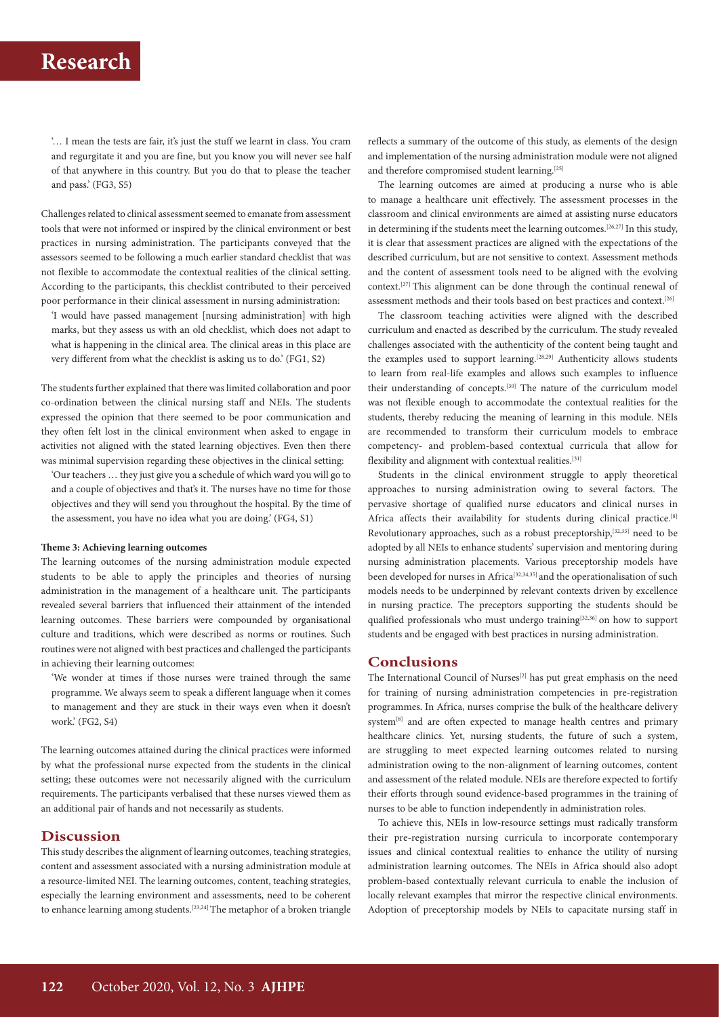'… I mean the tests are fair, it's just the stuff we learnt in class. You cram and regurgitate it and you are fine, but you know you will never see half of that anywhere in this country. But you do that to please the teacher and pass.' (FG3, S5)

Challenges related to clinical assessment seemed to emanate from assessment tools that were not informed or inspired by the clinical environment or best practices in nursing administration. The participants conveyed that the assessors seemed to be following a much earlier standard checklist that was not flexible to accommodate the contextual realities of the clinical setting. According to the participants, this checklist contributed to their perceived poor performance in their clinical assessment in nursing administration:

'I would have passed management [nursing administration] with high marks, but they assess us with an old checklist, which does not adapt to what is happening in the clinical area. The clinical areas in this place are very different from what the checklist is asking us to do.' (FG1, S2)

The students further explained that there was limited collaboration and poor co-ordination between the clinical nursing staff and NEIs. The students expressed the opinion that there seemed to be poor communication and they often felt lost in the clinical environment when asked to engage in activities not aligned with the stated learning objectives. Even then there was minimal supervision regarding these objectives in the clinical setting:

'Our teachers … they just give you a schedule of which ward you will go to and a couple of objectives and that's it. The nurses have no time for those objectives and they will send you throughout the hospital. By the time of the assessment, you have no idea what you are doing.' (FG4, S1)

#### **Theme 3: Achieving learning outcomes**

The learning outcomes of the nursing administration module expected students to be able to apply the principles and theories of nursing administration in the management of a healthcare unit. The participants revealed several barriers that influenced their attainment of the intended learning outcomes. These barriers were compounded by organisational culture and traditions, which were described as norms or routines. Such routines were not aligned with best practices and challenged the participants in achieving their learning outcomes:

'We wonder at times if those nurses were trained through the same programme. We always seem to speak a different language when it comes to management and they are stuck in their ways even when it doesn't work.' (FG2, S4)

The learning outcomes attained during the clinical practices were informed by what the professional nurse expected from the students in the clinical setting; these outcomes were not necessarily aligned with the curriculum requirements. The participants verbalised that these nurses viewed them as an additional pair of hands and not necessarily as students.

### **Discussion**

This study describes the alignment of learning outcomes, teaching strategies, content and assessment associated with a nursing administration module at a resource-limited NEI. The learning outcomes, content, teaching strategies, especially the learning environment and assessments, need to be coherent to enhance learning among students.<sup>[23,24]</sup> The metaphor of a broken triangle

reflects a summary of the outcome of this study, as elements of the design and implementation of the nursing administration module were not aligned and therefore compromised student learning.<sup>[25]</sup>

The learning outcomes are aimed at producing a nurse who is able to manage a healthcare unit effectively. The assessment processes in the classroom and clinical environments are aimed at assisting nurse educators in determining if the students meet the learning outcomes.[26,27] In this study, it is clear that assessment practices are aligned with the expectations of the described curriculum, but are not sensitive to context. Assessment methods and the content of assessment tools need to be aligned with the evolving context.[27] This alignment can be done through the continual renewal of assessment methods and their tools based on best practices and context.[26]

The classroom teaching activities were aligned with the described curriculum and enacted as described by the curriculum. The study revealed challenges associated with the authenticity of the content being taught and the examples used to support learning.<sup>[28,29]</sup> Authenticity allows students to learn from real-life examples and allows such examples to influence their understanding of concepts.[30] The nature of the curriculum model was not flexible enough to accommodate the contextual realities for the students, thereby reducing the meaning of learning in this module. NEIs are recommended to transform their curriculum models to embrace competency- and problem-based contextual curricula that allow for flexibility and alignment with contextual realities.<sup>[31]</sup>

Students in the clinical environment struggle to apply theoretical approaches to nursing administration owing to several factors. The pervasive shortage of qualified nurse educators and clinical nurses in Africa affects their availability for students during clinical practice.<sup>[8]</sup> Revolutionary approaches, such as a robust preceptorship,<sup>[32,33]</sup> need to be adopted by all NEIs to enhance students' supervision and mentoring during nursing administration placements. Various preceptorship models have been developed for nurses in Africa<sup>[32,34,35]</sup> and the operationalisation of such models needs to be underpinned by relevant contexts driven by excellence in nursing practice. The preceptors supporting the students should be qualified professionals who must undergo training<sup>[32,36]</sup> on how to support students and be engaged with best practices in nursing administration.

## **Conclusions**

The International Council of Nurses $[2]$  has put great emphasis on the need for training of nursing administration competencies in pre-registration programmes. In Africa, nurses comprise the bulk of the healthcare delivery system<sup>[8]</sup> and are often expected to manage health centres and primary healthcare clinics. Yet, nursing students, the future of such a system, are struggling to meet expected learning outcomes related to nursing administration owing to the non-alignment of learning outcomes, content and assessment of the related module. NEIs are therefore expected to fortify their efforts through sound evidence-based programmes in the training of nurses to be able to function independently in administration roles.

To achieve this, NEIs in low-resource settings must radically transform their pre-registration nursing curricula to incorporate contemporary issues and clinical contextual realities to enhance the utility of nursing administration learning outcomes. The NEIs in Africa should also adopt problem-based contextually relevant curricula to enable the inclusion of locally relevant examples that mirror the respective clinical environments. Adoption of preceptorship models by NEIs to capacitate nursing staff in